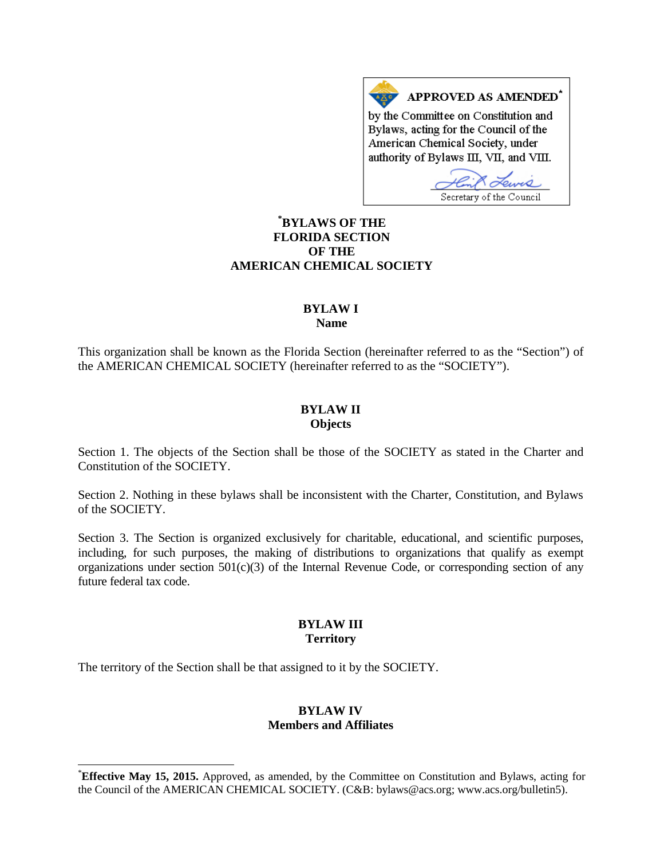APPROVED AS AMENDED\* by the Committee on Constitution and Bylaws, acting for the Council of the American Chemical Society, under authority of Bylaws III, VII, and VIII.

Secretary of the Council

# **[\\*](#page-0-0) BYLAWS OF THE FLORIDA SECTION OF THE AMERICAN CHEMICAL SOCIETY**

## **BYLAW I Name**

This organization shall be known as the Florida Section (hereinafter referred to as the "Section") of the AMERICAN CHEMICAL SOCIETY (hereinafter referred to as the "SOCIETY").

#### **BYLAW II Objects**

Section 1. The objects of the Section shall be those of the SOCIETY as stated in the Charter and Constitution of the SOCIETY.

Section 2. Nothing in these bylaws shall be inconsistent with the Charter, Constitution, and Bylaws of the SOCIETY.

Section 3. The Section is organized exclusively for charitable, educational, and scientific purposes, including, for such purposes, the making of distributions to organizations that qualify as exempt organizations under section 501(c)(3) of the Internal Revenue Code, or corresponding section of any future federal tax code.

#### **BYLAW III Territory**

The territory of the Section shall be that assigned to it by the SOCIETY.

## **BYLAW IV Members and Affiliates**

<span id="page-0-0"></span>**Effective May 15, 2015.** Approved, as amended, by the Committee on Constitution and Bylaws, acting for the Council of the AMERICAN CHEMICAL SOCIETY. (C&B: bylaws@acs.org; www.acs.org/bulletin5).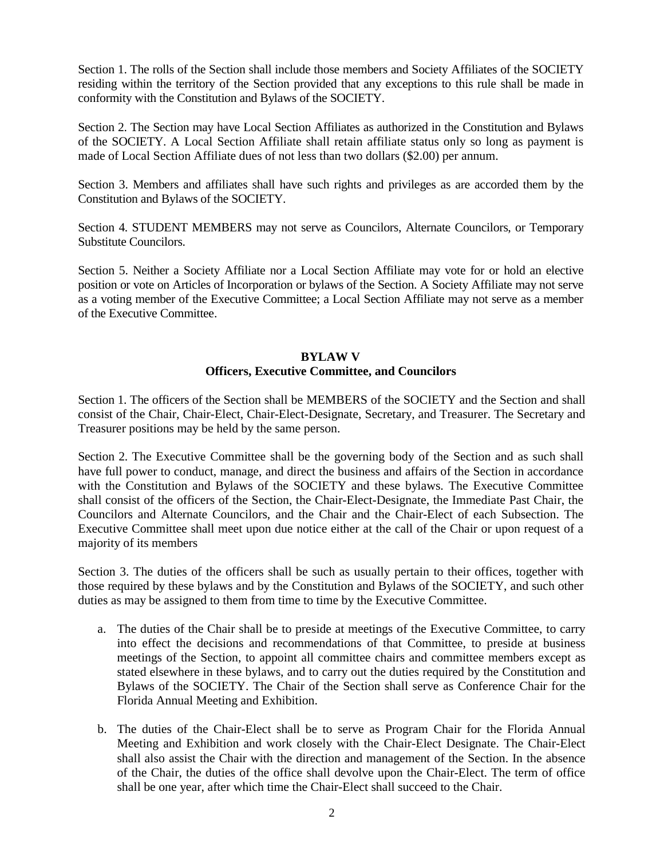Section 1. The rolls of the Section shall include those members and Society Affiliates of the SOCIETY residing within the territory of the Section provided that any exceptions to this rule shall be made in conformity with the Constitution and Bylaws of the SOCIETY.

Section 2. The Section may have Local Section Affiliates as authorized in the Constitution and Bylaws of the SOCIETY. A Local Section Affiliate shall retain affiliate status only so long as payment is made of Local Section Affiliate dues of not less than two dollars (\$2.00) per annum.

Section 3. Members and affiliates shall have such rights and privileges as are accorded them by the Constitution and Bylaws of the SOCIETY.

Section 4. STUDENT MEMBERS may not serve as Councilors, Alternate Councilors, or Temporary Substitute Councilors.

Section 5. Neither a Society Affiliate nor a Local Section Affiliate may vote for or hold an elective position or vote on Articles of Incorporation or bylaws of the Section. A Society Affiliate may not serve as a voting member of the Executive Committee; a Local Section Affiliate may not serve as a member of the Executive Committee.

## **BYLAW V Officers, Executive Committee, and Councilors**

Section 1. The officers of the Section shall be MEMBERS of the SOCIETY and the Section and shall consist of the Chair, Chair-Elect, Chair-Elect-Designate, Secretary, and Treasurer. The Secretary and Treasurer positions may be held by the same person.

Section 2. The Executive Committee shall be the governing body of the Section and as such shall have full power to conduct, manage, and direct the business and affairs of the Section in accordance with the Constitution and Bylaws of the SOCIETY and these bylaws. The Executive Committee shall consist of the officers of the Section, the Chair-Elect-Designate, the Immediate Past Chair, the Councilors and Alternate Councilors, and the Chair and the Chair-Elect of each Subsection. The Executive Committee shall meet upon due notice either at the call of the Chair or upon request of a majority of its members

Section 3. The duties of the officers shall be such as usually pertain to their offices, together with those required by these bylaws and by the Constitution and Bylaws of the SOCIETY, and such other duties as may be assigned to them from time to time by the Executive Committee.

- a. The duties of the Chair shall be to preside at meetings of the Executive Committee, to carry into effect the decisions and recommendations of that Committee, to preside at business meetings of the Section, to appoint all committee chairs and committee members except as stated elsewhere in these bylaws, and to carry out the duties required by the Constitution and Bylaws of the SOCIETY. The Chair of the Section shall serve as Conference Chair for the Florida Annual Meeting and Exhibition.
- b. The duties of the Chair-Elect shall be to serve as Program Chair for the Florida Annual Meeting and Exhibition and work closely with the Chair-Elect Designate. The Chair-Elect shall also assist the Chair with the direction and management of the Section. In the absence of the Chair, the duties of the office shall devolve upon the Chair-Elect. The term of office shall be one year, after which time the Chair-Elect shall succeed to the Chair.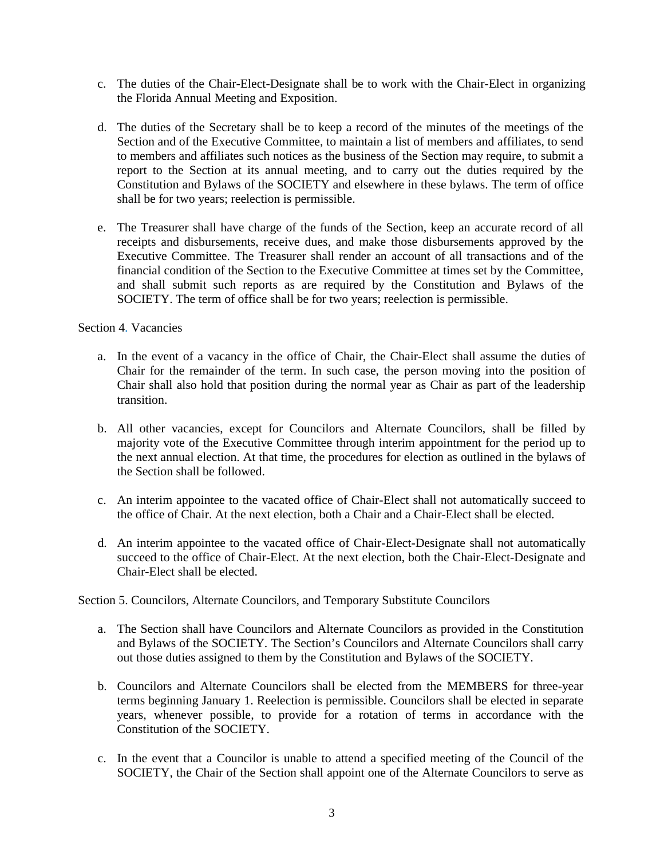- c. The duties of the Chair-Elect-Designate shall be to work with the Chair-Elect in organizing the Florida Annual Meeting and Exposition.
- d. The duties of the Secretary shall be to keep a record of the minutes of the meetings of the Section and of the Executive Committee, to maintain a list of members and affiliates, to send to members and affiliates such notices as the business of the Section may require, to submit a report to the Section at its annual meeting, and to carry out the duties required by the Constitution and Bylaws of the SOCIETY and elsewhere in these bylaws. The term of office shall be for two years; reelection is permissible.
- e. The Treasurer shall have charge of the funds of the Section, keep an accurate record of all receipts and disbursements, receive dues, and make those disbursements approved by the Executive Committee. The Treasurer shall render an account of all transactions and of the financial condition of the Section to the Executive Committee at times set by the Committee, and shall submit such reports as are required by the Constitution and Bylaws of the SOCIETY. The term of office shall be for two years; reelection is permissible.

## Section 4. Vacancies

- a. In the event of a vacancy in the office of Chair, the Chair-Elect shall assume the duties of Chair for the remainder of the term. In such case, the person moving into the position of Chair shall also hold that position during the normal year as Chair as part of the leadership transition.
- b. All other vacancies, except for Councilors and Alternate Councilors, shall be filled by majority vote of the Executive Committee through interim appointment for the period up to the next annual election. At that time, the procedures for election as outlined in the bylaws of the Section shall be followed.
- c. An interim appointee to the vacated office of Chair-Elect shall not automatically succeed to the office of Chair. At the next election, both a Chair and a Chair-Elect shall be elected.
- d. An interim appointee to the vacated office of Chair-Elect-Designate shall not automatically succeed to the office of Chair-Elect. At the next election, both the Chair-Elect-Designate and Chair-Elect shall be elected.

Section 5. Councilors, Alternate Councilors, and Temporary Substitute Councilors

- a. The Section shall have Councilors and Alternate Councilors as provided in the Constitution and Bylaws of the SOCIETY. The Section's Councilors and Alternate Councilors shall carry out those duties assigned to them by the Constitution and Bylaws of the SOCIETY.
- b. Councilors and Alternate Councilors shall be elected from the MEMBERS for three-year terms beginning January 1. Reelection is permissible. Councilors shall be elected in separate years, whenever possible, to provide for a rotation of terms in accordance with the Constitution of the SOCIETY.
- c. In the event that a Councilor is unable to attend a specified meeting of the Council of the SOCIETY, the Chair of the Section shall appoint one of the Alternate Councilors to serve as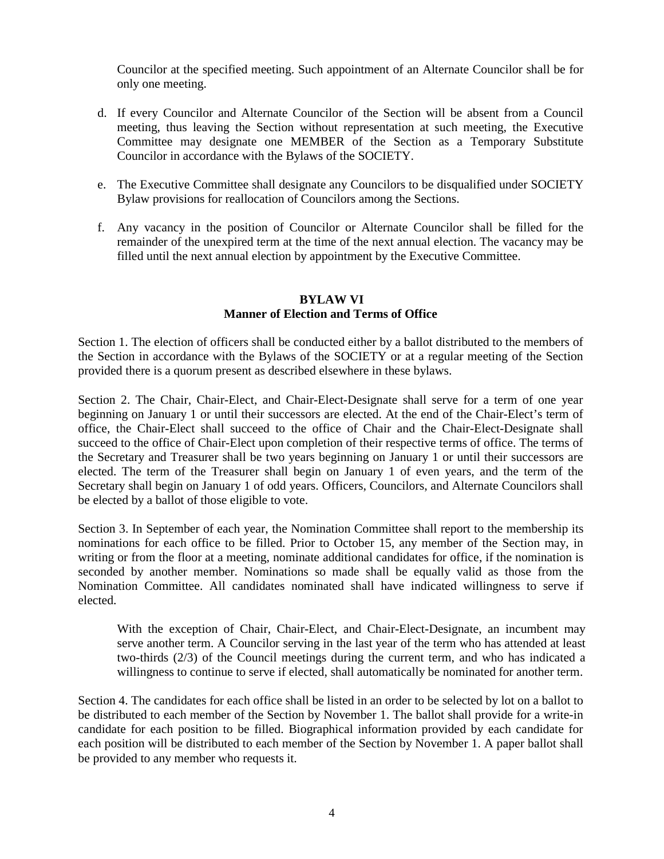Councilor at the specified meeting. Such appointment of an Alternate Councilor shall be for only one meeting.

- d. If every Councilor and Alternate Councilor of the Section will be absent from a Council meeting, thus leaving the Section without representation at such meeting, the Executive Committee may designate one MEMBER of the Section as a Temporary Substitute Councilor in accordance with the Bylaws of the SOCIETY.
- e. The Executive Committee shall designate any Councilors to be disqualified under SOCIETY Bylaw provisions for reallocation of Councilors among the Sections.
- f. Any vacancy in the position of Councilor or Alternate Councilor shall be filled for the remainder of the unexpired term at the time of the next annual election. The vacancy may be filled until the next annual election by appointment by the Executive Committee.

## **BYLAW VI Manner of Election and Terms of Office**

Section 1. The election of officers shall be conducted either by a ballot distributed to the members of the Section in accordance with the Bylaws of the SOCIETY or at a regular meeting of the Section provided there is a quorum present as described elsewhere in these bylaws.

Section 2. The Chair, Chair-Elect, and Chair-Elect-Designate shall serve for a term of one year beginning on January 1 or until their successors are elected. At the end of the Chair-Elect's term of office, the Chair-Elect shall succeed to the office of Chair and the Chair-Elect-Designate shall succeed to the office of Chair-Elect upon completion of their respective terms of office. The terms of the Secretary and Treasurer shall be two years beginning on January 1 or until their successors are elected. The term of the Treasurer shall begin on January 1 of even years, and the term of the Secretary shall begin on January 1 of odd years. Officers, Councilors, and Alternate Councilors shall be elected by a ballot of those eligible to vote.

Section 3. In September of each year, the Nomination Committee shall report to the membership its nominations for each office to be filled. Prior to October 15, any member of the Section may, in writing or from the floor at a meeting, nominate additional candidates for office, if the nomination is seconded by another member. Nominations so made shall be equally valid as those from the Nomination Committee. All candidates nominated shall have indicated willingness to serve if elected.

With the exception of Chair, Chair-Elect, and Chair-Elect-Designate, an incumbent may serve another term. A Councilor serving in the last year of the term who has attended at least two-thirds (2/3) of the Council meetings during the current term, and who has indicated a willingness to continue to serve if elected, shall automatically be nominated for another term.

Section 4. The candidates for each office shall be listed in an order to be selected by lot on a ballot to be distributed to each member of the Section by November 1. The ballot shall provide for a write-in candidate for each position to be filled. Biographical information provided by each candidate for each position will be distributed to each member of the Section by November 1. A paper ballot shall be provided to any member who requests it.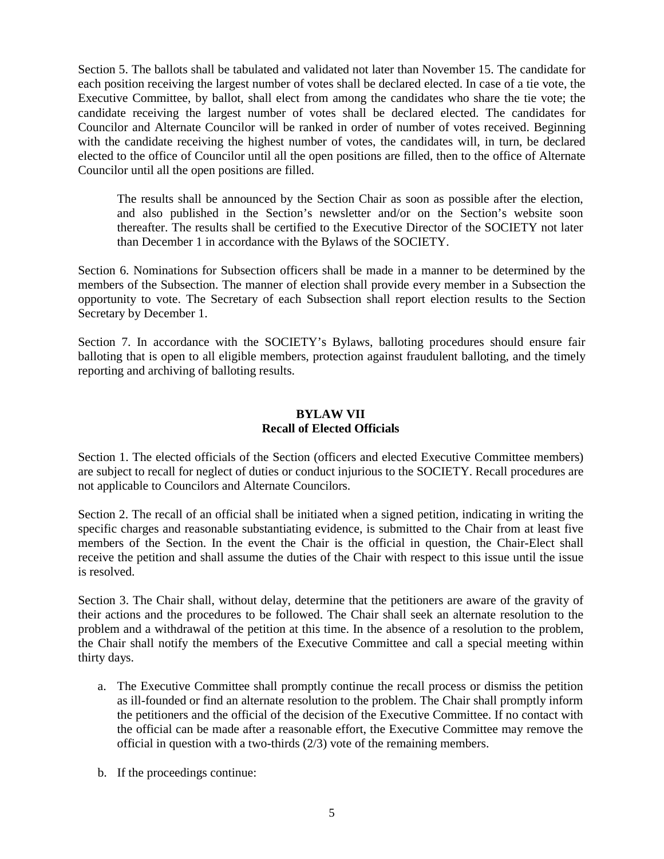Section 5. The ballots shall be tabulated and validated not later than November 15. The candidate for each position receiving the largest number of votes shall be declared elected. In case of a tie vote, the Executive Committee, by ballot, shall elect from among the candidates who share the tie vote; the candidate receiving the largest number of votes shall be declared elected. The candidates for Councilor and Alternate Councilor will be ranked in order of number of votes received. Beginning with the candidate receiving the highest number of votes, the candidates will, in turn, be declared elected to the office of Councilor until all the open positions are filled, then to the office of Alternate Councilor until all the open positions are filled.

The results shall be announced by the Section Chair as soon as possible after the election, and also published in the Section's newsletter and/or on the Section's website soon thereafter. The results shall be certified to the Executive Director of the SOCIETY not later than December 1 in accordance with the Bylaws of the SOCIETY.

Section 6. Nominations for Subsection officers shall be made in a manner to be determined by the members of the Subsection. The manner of election shall provide every member in a Subsection the opportunity to vote. The Secretary of each Subsection shall report election results to the Section Secretary by December 1.

Section 7. In accordance with the SOCIETY's Bylaws, balloting procedures should ensure fair balloting that is open to all eligible members, protection against fraudulent balloting, and the timely reporting and archiving of balloting results.

## **BYLAW VII Recall of Elected Officials**

Section 1. The elected officials of the Section (officers and elected Executive Committee members) are subject to recall for neglect of duties or conduct injurious to the SOCIETY. Recall procedures are not applicable to Councilors and Alternate Councilors.

Section 2. The recall of an official shall be initiated when a signed petition, indicating in writing the specific charges and reasonable substantiating evidence, is submitted to the Chair from at least five members of the Section. In the event the Chair is the official in question, the Chair-Elect shall receive the petition and shall assume the duties of the Chair with respect to this issue until the issue is resolved.

Section 3. The Chair shall, without delay, determine that the petitioners are aware of the gravity of their actions and the procedures to be followed. The Chair shall seek an alternate resolution to the problem and a withdrawal of the petition at this time. In the absence of a resolution to the problem, the Chair shall notify the members of the Executive Committee and call a special meeting within thirty days.

- a. The Executive Committee shall promptly continue the recall process or dismiss the petition as ill-founded or find an alternate resolution to the problem. The Chair shall promptly inform the petitioners and the official of the decision of the Executive Committee. If no contact with the official can be made after a reasonable effort, the Executive Committee may remove the official in question with a two-thirds (2/3) vote of the remaining members.
- b. If the proceedings continue: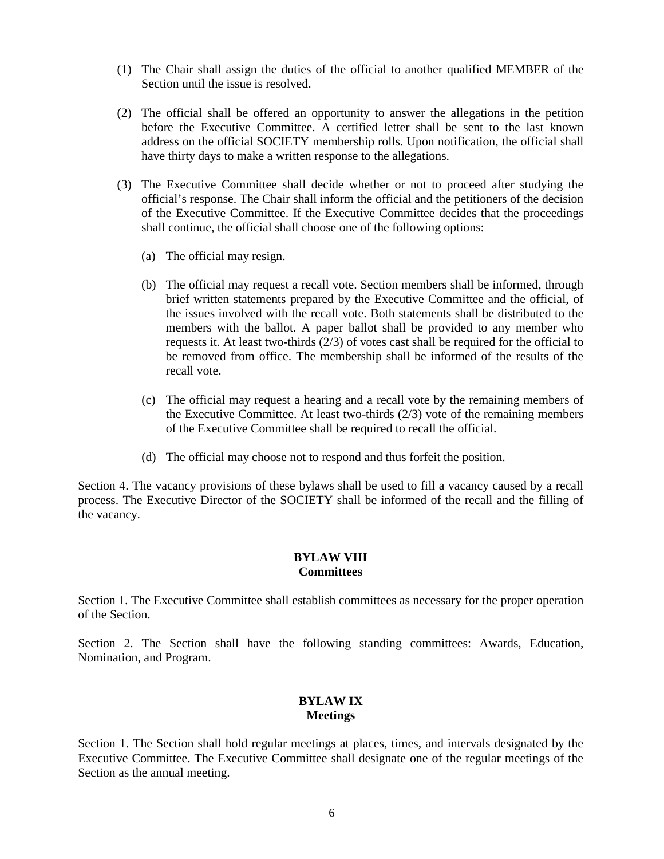- (1) The Chair shall assign the duties of the official to another qualified MEMBER of the Section until the issue is resolved.
- (2) The official shall be offered an opportunity to answer the allegations in the petition before the Executive Committee. A certified letter shall be sent to the last known address on the official SOCIETY membership rolls. Upon notification, the official shall have thirty days to make a written response to the allegations.
- (3) The Executive Committee shall decide whether or not to proceed after studying the official's response. The Chair shall inform the official and the petitioners of the decision of the Executive Committee. If the Executive Committee decides that the proceedings shall continue, the official shall choose one of the following options:
	- (a) The official may resign.
	- (b) The official may request a recall vote. Section members shall be informed, through brief written statements prepared by the Executive Committee and the official, of the issues involved with the recall vote. Both statements shall be distributed to the members with the ballot. A paper ballot shall be provided to any member who requests it. At least two-thirds (2/3) of votes cast shall be required for the official to be removed from office. The membership shall be informed of the results of the recall vote.
	- (c) The official may request a hearing and a recall vote by the remaining members of the Executive Committee. At least two-thirds (2/3) vote of the remaining members of the Executive Committee shall be required to recall the official.
	- (d) The official may choose not to respond and thus forfeit the position.

Section 4. The vacancy provisions of these bylaws shall be used to fill a vacancy caused by a recall process. The Executive Director of the SOCIETY shall be informed of the recall and the filling of the vacancy.

#### **BYLAW VIII Committees**

Section 1. The Executive Committee shall establish committees as necessary for the proper operation of the Section.

Section 2. The Section shall have the following standing committees: Awards, Education, Nomination, and Program.

## **BYLAW IX Meetings**

Section 1. The Section shall hold regular meetings at places, times, and intervals designated by the Executive Committee. The Executive Committee shall designate one of the regular meetings of the Section as the annual meeting.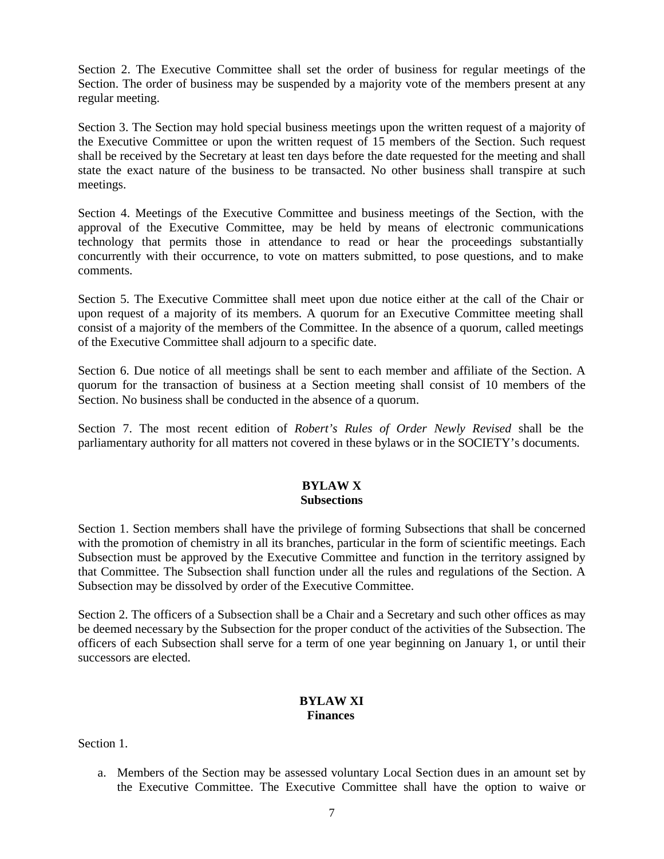Section 2. The Executive Committee shall set the order of business for regular meetings of the Section. The order of business may be suspended by a majority vote of the members present at any regular meeting.

Section 3. The Section may hold special business meetings upon the written request of a majority of the Executive Committee or upon the written request of 15 members of the Section. Such request shall be received by the Secretary at least ten days before the date requested for the meeting and shall state the exact nature of the business to be transacted. No other business shall transpire at such meetings.

Section 4. Meetings of the Executive Committee and business meetings of the Section, with the approval of the Executive Committee, may be held by means of electronic communications technology that permits those in attendance to read or hear the proceedings substantially concurrently with their occurrence, to vote on matters submitted, to pose questions, and to make comments.

Section 5. The Executive Committee shall meet upon due notice either at the call of the Chair or upon request of a majority of its members. A quorum for an Executive Committee meeting shall consist of a majority of the members of the Committee. In the absence of a quorum, called meetings of the Executive Committee shall adjourn to a specific date.

Section 6. Due notice of all meetings shall be sent to each member and affiliate of the Section. A quorum for the transaction of business at a Section meeting shall consist of 10 members of the Section. No business shall be conducted in the absence of a quorum.

Section 7. The most recent edition of *Robert's Rules of Order Newly Revised* shall be the parliamentary authority for all matters not covered in these bylaws or in the SOCIETY's documents.

#### **BYLAW X Subsections**

Section 1. Section members shall have the privilege of forming Subsections that shall be concerned with the promotion of chemistry in all its branches, particular in the form of scientific meetings. Each Subsection must be approved by the Executive Committee and function in the territory assigned by that Committee. The Subsection shall function under all the rules and regulations of the Section. A Subsection may be dissolved by order of the Executive Committee.

Section 2. The officers of a Subsection shall be a Chair and a Secretary and such other offices as may be deemed necessary by the Subsection for the proper conduct of the activities of the Subsection. The officers of each Subsection shall serve for a term of one year beginning on January 1, or until their successors are elected.

## **BYLAW XI Finances**

Section 1.

a. Members of the Section may be assessed voluntary Local Section dues in an amount set by the Executive Committee. The Executive Committee shall have the option to waive or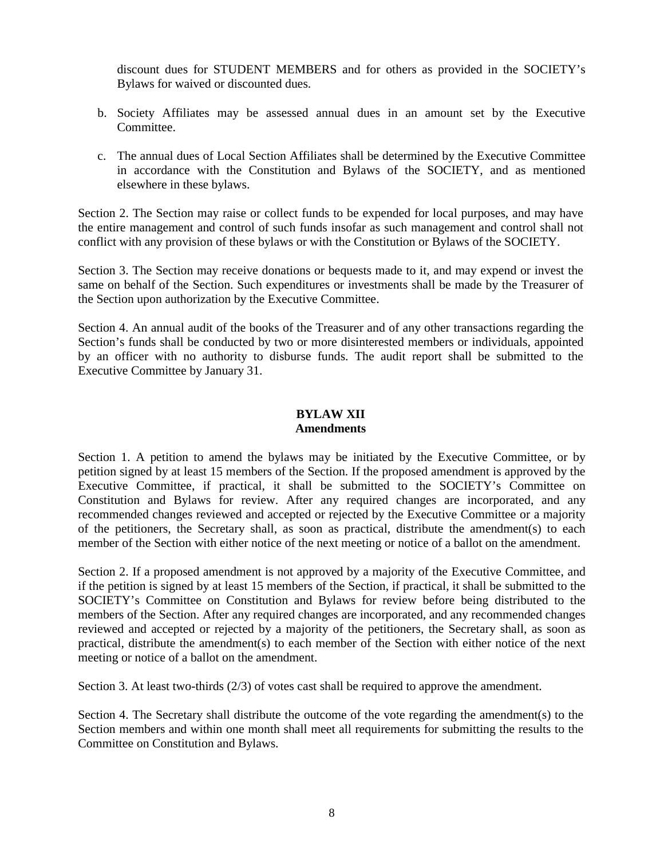discount dues for STUDENT MEMBERS and for others as provided in the SOCIETY's Bylaws for waived or discounted dues.

- b. Society Affiliates may be assessed annual dues in an amount set by the Executive Committee.
- c. The annual dues of Local Section Affiliates shall be determined by the Executive Committee in accordance with the Constitution and Bylaws of the SOCIETY, and as mentioned elsewhere in these bylaws.

Section 2. The Section may raise or collect funds to be expended for local purposes, and may have the entire management and control of such funds insofar as such management and control shall not conflict with any provision of these bylaws or with the Constitution or Bylaws of the SOCIETY.

Section 3. The Section may receive donations or bequests made to it, and may expend or invest the same on behalf of the Section. Such expenditures or investments shall be made by the Treasurer of the Section upon authorization by the Executive Committee.

Section 4. An annual audit of the books of the Treasurer and of any other transactions regarding the Section's funds shall be conducted by two or more disinterested members or individuals, appointed by an officer with no authority to disburse funds. The audit report shall be submitted to the Executive Committee by January 31.

## **BYLAW XII Amendments**

Section 1. A petition to amend the bylaws may be initiated by the Executive Committee, or by petition signed by at least 15 members of the Section. If the proposed amendment is approved by the Executive Committee, if practical, it shall be submitted to the SOCIETY's Committee on Constitution and Bylaws for review. After any required changes are incorporated, and any recommended changes reviewed and accepted or rejected by the Executive Committee or a majority of the petitioners, the Secretary shall, as soon as practical, distribute the amendment(s) to each member of the Section with either notice of the next meeting or notice of a ballot on the amendment.

Section 2. If a proposed amendment is not approved by a majority of the Executive Committee, and if the petition is signed by at least 15 members of the Section, if practical, it shall be submitted to the SOCIETY's Committee on Constitution and Bylaws for review before being distributed to the members of the Section. After any required changes are incorporated, and any recommended changes reviewed and accepted or rejected by a majority of the petitioners, the Secretary shall, as soon as practical, distribute the amendment(s) to each member of the Section with either notice of the next meeting or notice of a ballot on the amendment.

Section 3. At least two-thirds (2/3) of votes cast shall be required to approve the amendment.

Section 4. The Secretary shall distribute the outcome of the vote regarding the amendment(s) to the Section members and within one month shall meet all requirements for submitting the results to the Committee on Constitution and Bylaws.